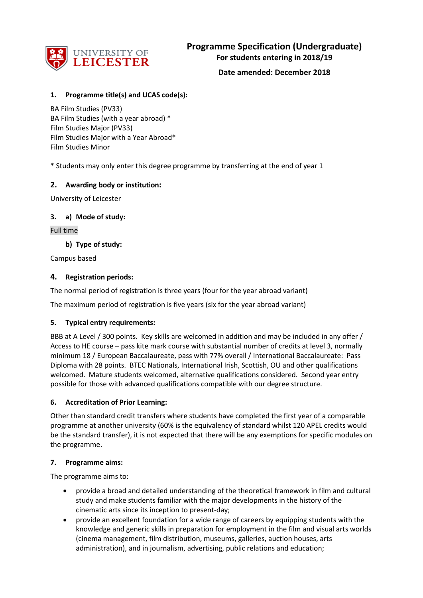

## **1. Programme title(s) and UCAS code(s):**

BA Film Studies (PV33) BA Film Studies (with a year abroad) \* Film Studies Major (PV33) Film Studies Major with a Year Abroad\* Film Studies Minor

\* Students may only enter this degree programme by transferring at the end of year 1

## **2. Awarding body or institution:**

University of Leicester

## **3. a) Mode of study:**

Full time

## **b) Type of study:**

Campus based

## **4. Registration periods:**

The normal period of registration is three years (four for the year abroad variant)

The maximum period of registration is five years (six for the year abroad variant)

### **5. Typical entry requirements:**

BBB at A Level / 300 points. Key skills are welcomed in addition and may be included in any offer / Access to HE course – pass kite mark course with substantial number of credits at level 3, normally minimum 18 / European Baccalaureate, pass with 77% overall / International Baccalaureate: Pass Diploma with 28 points. BTEC Nationals, International Irish, Scottish, OU and other qualifications welcomed. Mature students welcomed, alternative qualifications considered. Second year entry possible for those with advanced qualifications compatible with our degree structure.

### **6. Accreditation of Prior Learning:**

Other than standard credit transfers where students have completed the first year of a comparable programme at another university (60% is the equivalency of standard whilst 120 APEL credits would be the standard transfer), it is not expected that there will be any exemptions for specific modules on the programme.

### **7. Programme aims:**

The programme aims to:

- provide a broad and detailed understanding of the theoretical framework in film and cultural study and make students familiar with the major developments in the history of the cinematic arts since its inception to present-day;
- provide an excellent foundation for a wide range of careers by equipping students with the knowledge and generic skills in preparation for employment in the film and visual arts worlds (cinema management, film distribution, museums, galleries, auction houses, arts administration), and in journalism, advertising, public relations and education;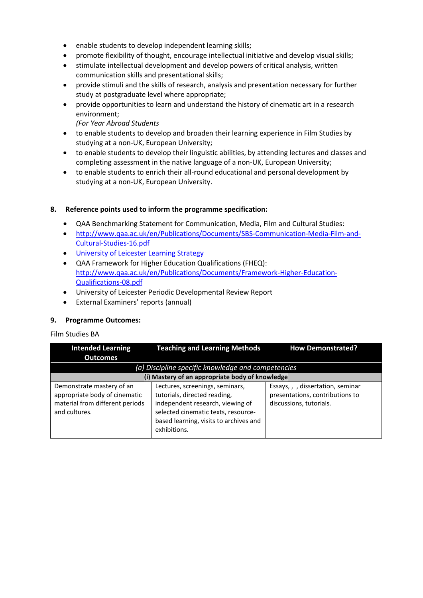- enable students to develop independent learning skills;
- promote flexibility of thought, encourage intellectual initiative and develop visual skills;
- stimulate intellectual development and develop powers of critical analysis, written communication skills and presentational skills;
- provide stimuli and the skills of research, analysis and presentation necessary for further study at postgraduate level where appropriate;
- provide opportunities to learn and understand the history of cinematic art in a research environment;
	- *(For Year Abroad Students*
- to enable students to develop and broaden their learning experience in Film Studies by studying at a non-UK, European University;
- to enable students to develop their linguistic abilities, by attending lectures and classes and completing assessment in the native language of a non-UK, European University;
- to enable students to enrich their all-round educational and personal development by studying at a non-UK, European University.

## **8. Reference points used to inform the programme specification:**

- QAA Benchmarking Statement for Communication, Media, Film and Cultural Studies:
- [http://www.qaa.ac.uk/en/Publications/Documents/SBS-Communication-Media-Film-and-](http://www.qaa.ac.uk/en/Publications/Documents/SBS-Communication-Media-Film-and-Cultural-Studies-16.pdf)[Cultural-Studies-16.pdf](http://www.qaa.ac.uk/en/Publications/Documents/SBS-Communication-Media-Film-and-Cultural-Studies-16.pdf)
- University of Leicester Learning Strategy
- QAA Framework for Higher Education Qualifications (FHEQ): [http://www.qaa.ac.uk/en/Publications/Documents/Framework-Higher-Education-](http://www.qaa.ac.uk/en/Publications/Documents/Framework-Higher-Education-Qualifications-08.pdf)[Qualifications-08.pdf](http://www.qaa.ac.uk/en/Publications/Documents/Framework-Higher-Education-Qualifications-08.pdf)
- University of Leicester Periodic Developmental Review Report
- External Examiners' reports (annual)

## **9. Programme Outcomes:**

Film Studies BA

| <b>Intended Learning</b>                                                                                       | <b>Teaching and Learning Methods</b>                                                                                                                                                                 | <b>How Demonstrated?</b>                                                                        |
|----------------------------------------------------------------------------------------------------------------|------------------------------------------------------------------------------------------------------------------------------------------------------------------------------------------------------|-------------------------------------------------------------------------------------------------|
| <b>Outcomes</b>                                                                                                |                                                                                                                                                                                                      |                                                                                                 |
|                                                                                                                | (a) Discipline specific knowledge and competencies                                                                                                                                                   |                                                                                                 |
| (i) Mastery of an appropriate body of knowledge                                                                |                                                                                                                                                                                                      |                                                                                                 |
| Demonstrate mastery of an<br>appropriate body of cinematic<br>material from different periods<br>and cultures. | Lectures, screenings, seminars,<br>tutorials, directed reading,<br>independent research, viewing of<br>selected cinematic texts, resource-<br>based learning, visits to archives and<br>exhibitions. | Essays, , , dissertation, seminar<br>presentations, contributions to<br>discussions, tutorials. |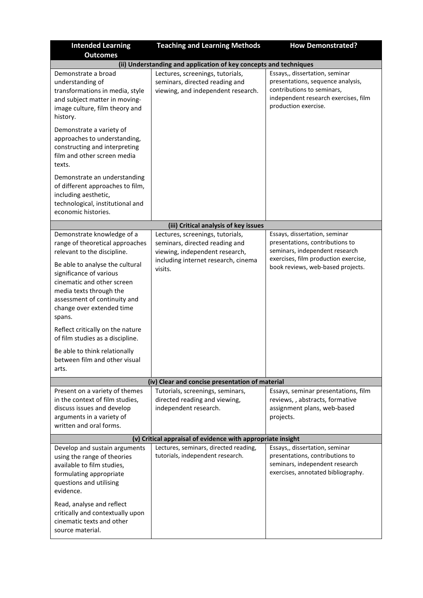| <b>Intended Learning</b><br><b>Outcomes</b>                                                                                                                                                                                                                                                                                                                                                                                                   | <b>Teaching and Learning Methods</b>                                                                                                                   | <b>How Demonstrated?</b>                                                                                                                                                        |
|-----------------------------------------------------------------------------------------------------------------------------------------------------------------------------------------------------------------------------------------------------------------------------------------------------------------------------------------------------------------------------------------------------------------------------------------------|--------------------------------------------------------------------------------------------------------------------------------------------------------|---------------------------------------------------------------------------------------------------------------------------------------------------------------------------------|
|                                                                                                                                                                                                                                                                                                                                                                                                                                               | (ii) Understanding and application of key concepts and techniques                                                                                      |                                                                                                                                                                                 |
| Demonstrate a broad<br>understanding of<br>transformations in media, style<br>and subject matter in moving-<br>image culture, film theory and<br>history.                                                                                                                                                                                                                                                                                     | Lectures, screenings, tutorials,<br>seminars, directed reading and<br>viewing, and independent research.                                               | Essays,, dissertation, seminar<br>presentations, sequence analysis,<br>contributions to seminars,<br>independent research exercises, film<br>production exercise.               |
| Demonstrate a variety of<br>approaches to understanding,<br>constructing and interpreting<br>film and other screen media<br>texts.                                                                                                                                                                                                                                                                                                            |                                                                                                                                                        |                                                                                                                                                                                 |
| Demonstrate an understanding<br>of different approaches to film,<br>including aesthetic,<br>technological, institutional and<br>economic histories.                                                                                                                                                                                                                                                                                           |                                                                                                                                                        |                                                                                                                                                                                 |
|                                                                                                                                                                                                                                                                                                                                                                                                                                               | (iii) Critical analysis of key issues                                                                                                                  |                                                                                                                                                                                 |
| Demonstrate knowledge of a<br>range of theoretical approaches<br>relevant to the discipline.<br>Be able to analyse the cultural<br>significance of various<br>cinematic and other screen<br>media texts through the<br>assessment of continuity and<br>change over extended time<br>spans.<br>Reflect critically on the nature<br>of film studies as a discipline.<br>Be able to think relationally<br>between film and other visual<br>arts. | Lectures, screenings, tutorials,<br>seminars, directed reading and<br>viewing, independent research,<br>including internet research, cinema<br>visits. | Essays, dissertation, seminar<br>presentations, contributions to<br>seminars, independent research<br>exercises, film production exercise,<br>book reviews, web-based projects. |
|                                                                                                                                                                                                                                                                                                                                                                                                                                               | (iv) Clear and concise presentation of material                                                                                                        |                                                                                                                                                                                 |
| Present on a variety of themes<br>in the context of film studies,<br>discuss issues and develop<br>arguments in a variety of<br>written and oral forms.                                                                                                                                                                                                                                                                                       | Tutorials, screenings, seminars,<br>directed reading and viewing,<br>independent research.                                                             | Essays, seminar presentations, film<br>reviews,, abstracts, formative<br>assignment plans, web-based<br>projects.                                                               |
| (v) Critical appraisal of evidence with appropriate insight                                                                                                                                                                                                                                                                                                                                                                                   |                                                                                                                                                        |                                                                                                                                                                                 |
| Develop and sustain arguments<br>using the range of theories<br>available to film studies,<br>formulating appropriate<br>questions and utilising<br>evidence.                                                                                                                                                                                                                                                                                 | Lectures, seminars, directed reading,<br>tutorials, independent research.                                                                              | Essays,, dissertation, seminar<br>presentations, contributions to<br>seminars, independent research<br>exercises, annotated bibliography.                                       |
| Read, analyse and reflect<br>critically and contextually upon<br>cinematic texts and other<br>source material.                                                                                                                                                                                                                                                                                                                                |                                                                                                                                                        |                                                                                                                                                                                 |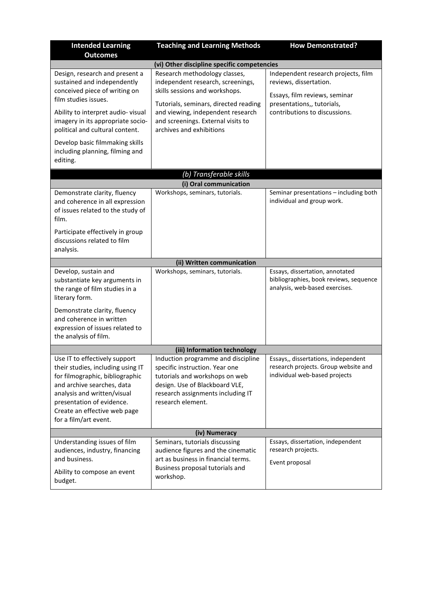| <b>Intended Learning</b>                                                                                                                                                                                                                                               | <b>Teaching and Learning Methods</b>                                                                                                                                                                                                                                                                | <b>How Demonstrated?</b>                                                                                                                                      |
|------------------------------------------------------------------------------------------------------------------------------------------------------------------------------------------------------------------------------------------------------------------------|-----------------------------------------------------------------------------------------------------------------------------------------------------------------------------------------------------------------------------------------------------------------------------------------------------|---------------------------------------------------------------------------------------------------------------------------------------------------------------|
| <b>Outcomes</b>                                                                                                                                                                                                                                                        |                                                                                                                                                                                                                                                                                                     |                                                                                                                                                               |
| Design, research and present a<br>sustained and independently<br>conceived piece of writing on<br>film studies issues.<br>Ability to interpret audio-visual<br>imagery in its appropriate socio-<br>political and cultural content.<br>Develop basic filmmaking skills | (vi) Other discipline specific competencies<br>Research methodology classes,<br>independent research, screenings,<br>skills sessions and workshops.<br>Tutorials, seminars, directed reading<br>and viewing, independent research<br>and screenings. External visits to<br>archives and exhibitions | Independent research projects, film<br>reviews, dissertation.<br>Essays, film reviews, seminar<br>presentations,, tutorials,<br>contributions to discussions. |
| including planning, filming and<br>editing.                                                                                                                                                                                                                            |                                                                                                                                                                                                                                                                                                     |                                                                                                                                                               |
|                                                                                                                                                                                                                                                                        | (b) Transferable skills                                                                                                                                                                                                                                                                             |                                                                                                                                                               |
|                                                                                                                                                                                                                                                                        | (i) Oral communication                                                                                                                                                                                                                                                                              |                                                                                                                                                               |
| Demonstrate clarity, fluency<br>and coherence in all expression<br>of issues related to the study of<br>film.                                                                                                                                                          | Workshops, seminars, tutorials.                                                                                                                                                                                                                                                                     | Seminar presentations - including both<br>individual and group work.                                                                                          |
| Participate effectively in group<br>discussions related to film<br>analysis.                                                                                                                                                                                           |                                                                                                                                                                                                                                                                                                     |                                                                                                                                                               |
|                                                                                                                                                                                                                                                                        | (ii) Written communication                                                                                                                                                                                                                                                                          |                                                                                                                                                               |
| Develop, sustain and<br>substantiate key arguments in<br>the range of film studies in a<br>literary form.                                                                                                                                                              | Workshops, seminars, tutorials.                                                                                                                                                                                                                                                                     | Essays, dissertation, annotated<br>bibliographies, book reviews, sequence<br>analysis, web-based exercises.                                                   |
| Demonstrate clarity, fluency<br>and coherence in written<br>expression of issues related to<br>the analysis of film.                                                                                                                                                   |                                                                                                                                                                                                                                                                                                     |                                                                                                                                                               |
|                                                                                                                                                                                                                                                                        | (iii) Information technology                                                                                                                                                                                                                                                                        |                                                                                                                                                               |
| Use IT to effectively support<br>their studies, including using IT<br>for filmographic, bibliographic<br>and archive searches, data<br>analysis and written/visual<br>presentation of evidence.<br>Create an effective web page<br>for a film/art event.               | Induction programme and discipline<br>specific instruction. Year one<br>tutorials and workshops on web<br>design. Use of Blackboard VLE,<br>research assignments including IT<br>research element.                                                                                                  | Essays,, dissertations, independent<br>research projects. Group website and<br>individual web-based projects                                                  |
|                                                                                                                                                                                                                                                                        | (iv) Numeracy                                                                                                                                                                                                                                                                                       |                                                                                                                                                               |
| Understanding issues of film<br>audiences, industry, financing<br>and business.<br>Ability to compose an event<br>budget.                                                                                                                                              | Seminars, tutorials discussing<br>audience figures and the cinematic<br>art as business in financial terms.<br>Business proposal tutorials and<br>workshop.                                                                                                                                         | Essays, dissertation, independent<br>research projects.<br>Event proposal                                                                                     |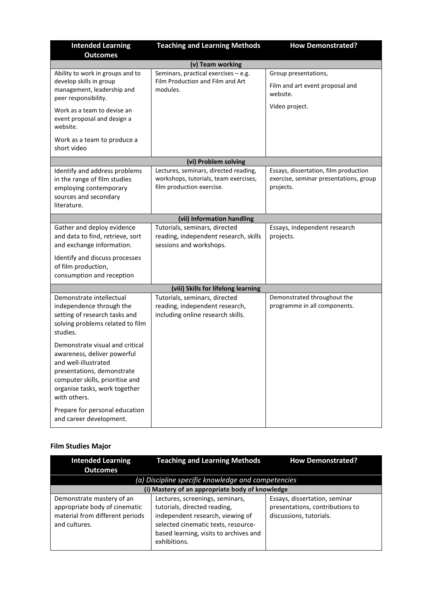| <b>Intended Learning</b>                                                                                                                                                                                 | <b>Teaching and Learning Methods</b>                                                                        | <b>How Demonstrated?</b>                                                                     |
|----------------------------------------------------------------------------------------------------------------------------------------------------------------------------------------------------------|-------------------------------------------------------------------------------------------------------------|----------------------------------------------------------------------------------------------|
| <b>Outcomes</b>                                                                                                                                                                                          |                                                                                                             |                                                                                              |
|                                                                                                                                                                                                          | (v) Team working                                                                                            |                                                                                              |
| Ability to work in groups and to<br>develop skills in group<br>management, leadership and<br>peer responsibility.                                                                                        | Seminars, practical exercises - e.g.<br>Film Production and Film and Art<br>modules.                        | Group presentations,<br>Film and art event proposal and<br>website.                          |
| Work as a team to devise an<br>event proposal and design a<br>website.                                                                                                                                   |                                                                                                             | Video project.                                                                               |
| Work as a team to produce a<br>short video                                                                                                                                                               |                                                                                                             |                                                                                              |
|                                                                                                                                                                                                          | (vi) Problem solving                                                                                        |                                                                                              |
| Identify and address problems<br>in the range of film studies<br>employing contemporary<br>sources and secondary<br>literature.                                                                          | Lectures, seminars, directed reading,<br>workshops, tutorials, team exercises,<br>film production exercise. | Essays, dissertation, film production<br>exercise, seminar presentations, group<br>projects. |
|                                                                                                                                                                                                          | (vii) Information handling                                                                                  |                                                                                              |
| Gather and deploy evidence<br>and data to find, retrieve, sort<br>and exchange information.                                                                                                              | Tutorials, seminars, directed<br>reading, independent research, skills<br>sessions and workshops.           | Essays, independent research<br>projects.                                                    |
| Identify and discuss processes<br>of film production,<br>consumption and reception                                                                                                                       |                                                                                                             |                                                                                              |
|                                                                                                                                                                                                          | (viii) Skills for lifelong learning                                                                         |                                                                                              |
| Demonstrate intellectual<br>independence through the<br>setting of research tasks and<br>solving problems related to film<br>studies.                                                                    | Tutorials, seminars, directed<br>reading, independent research,<br>including online research skills.        | Demonstrated throughout the<br>programme in all components.                                  |
| Demonstrate visual and critical<br>awareness, deliver powerful<br>and well-illustrated<br>presentations, demonstrate<br>computer skills, prioritise and<br>organise tasks, work together<br>with others. |                                                                                                             |                                                                                              |
| Prepare for personal education<br>and career development.                                                                                                                                                |                                                                                                             |                                                                                              |

# **Film Studies Major**

| <b>Intended Learning</b>                                                                                       | <b>Teaching and Learning Methods</b>                                                                                                                                                                 | <b>How Demonstrated?</b>                                                                    |  |
|----------------------------------------------------------------------------------------------------------------|------------------------------------------------------------------------------------------------------------------------------------------------------------------------------------------------------|---------------------------------------------------------------------------------------------|--|
| <b>Outcomes</b>                                                                                                |                                                                                                                                                                                                      |                                                                                             |  |
|                                                                                                                | (a) Discipline specific knowledge and competencies                                                                                                                                                   |                                                                                             |  |
|                                                                                                                | (i) Mastery of an appropriate body of knowledge                                                                                                                                                      |                                                                                             |  |
| Demonstrate mastery of an<br>appropriate body of cinematic<br>material from different periods<br>and cultures. | Lectures, screenings, seminars,<br>tutorials, directed reading,<br>independent research, viewing of<br>selected cinematic texts, resource-<br>based learning, visits to archives and<br>exhibitions. | Essays, dissertation, seminar<br>presentations, contributions to<br>discussions, tutorials. |  |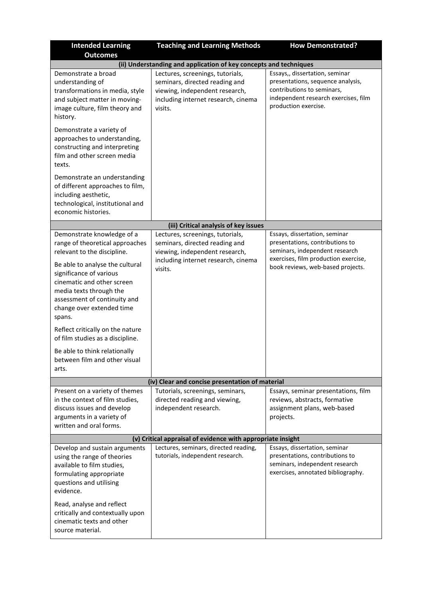| <b>Intended Learning</b>                                                                                                                                                                                                                                                                                                                                                                                                                      | <b>Teaching and Learning Methods</b>                                                                                                                   | <b>How Demonstrated?</b>                                                                                                                                                        |
|-----------------------------------------------------------------------------------------------------------------------------------------------------------------------------------------------------------------------------------------------------------------------------------------------------------------------------------------------------------------------------------------------------------------------------------------------|--------------------------------------------------------------------------------------------------------------------------------------------------------|---------------------------------------------------------------------------------------------------------------------------------------------------------------------------------|
| <b>Outcomes</b>                                                                                                                                                                                                                                                                                                                                                                                                                               |                                                                                                                                                        |                                                                                                                                                                                 |
|                                                                                                                                                                                                                                                                                                                                                                                                                                               | (ii) Understanding and application of key concepts and techniques                                                                                      | Essays,, dissertation, seminar                                                                                                                                                  |
| Demonstrate a broad<br>understanding of<br>transformations in media, style<br>and subject matter in moving-<br>image culture, film theory and<br>history.                                                                                                                                                                                                                                                                                     | Lectures, screenings, tutorials,<br>seminars, directed reading and<br>viewing, independent research,<br>including internet research, cinema<br>visits. | presentations, sequence analysis,<br>contributions to seminars,<br>independent research exercises, film<br>production exercise.                                                 |
| Demonstrate a variety of<br>approaches to understanding,<br>constructing and interpreting<br>film and other screen media<br>texts.                                                                                                                                                                                                                                                                                                            |                                                                                                                                                        |                                                                                                                                                                                 |
| Demonstrate an understanding<br>of different approaches to film,<br>including aesthetic,<br>technological, institutional and<br>economic histories.                                                                                                                                                                                                                                                                                           |                                                                                                                                                        |                                                                                                                                                                                 |
|                                                                                                                                                                                                                                                                                                                                                                                                                                               | (iii) Critical analysis of key issues                                                                                                                  |                                                                                                                                                                                 |
| Demonstrate knowledge of a<br>range of theoretical approaches<br>relevant to the discipline.<br>Be able to analyse the cultural<br>significance of various<br>cinematic and other screen<br>media texts through the<br>assessment of continuity and<br>change over extended time<br>spans.<br>Reflect critically on the nature<br>of film studies as a discipline.<br>Be able to think relationally<br>between film and other visual<br>arts. | Lectures, screenings, tutorials,<br>seminars, directed reading and<br>viewing, independent research,<br>including internet research, cinema<br>visits. | Essays, dissertation, seminar<br>presentations, contributions to<br>seminars, independent research<br>exercises, film production exercise,<br>book reviews, web-based projects. |
|                                                                                                                                                                                                                                                                                                                                                                                                                                               | (iv) Clear and concise presentation of material                                                                                                        |                                                                                                                                                                                 |
| Present on a variety of themes<br>in the context of film studies,<br>discuss issues and develop<br>arguments in a variety of<br>written and oral forms.                                                                                                                                                                                                                                                                                       | Tutorials, screenings, seminars,<br>directed reading and viewing,<br>independent research.                                                             | Essays, seminar presentations, film<br>reviews, abstracts, formative<br>assignment plans, web-based<br>projects.                                                                |
| (v) Critical appraisal of evidence with appropriate insight                                                                                                                                                                                                                                                                                                                                                                                   |                                                                                                                                                        |                                                                                                                                                                                 |
| Develop and sustain arguments<br>using the range of theories<br>available to film studies,<br>formulating appropriate<br>questions and utilising<br>evidence.                                                                                                                                                                                                                                                                                 | Lectures, seminars, directed reading,<br>tutorials, independent research.                                                                              | Essays, dissertation, seminar<br>presentations, contributions to<br>seminars, independent research<br>exercises, annotated bibliography.                                        |
| Read, analyse and reflect<br>critically and contextually upon<br>cinematic texts and other<br>source material.                                                                                                                                                                                                                                                                                                                                |                                                                                                                                                        |                                                                                                                                                                                 |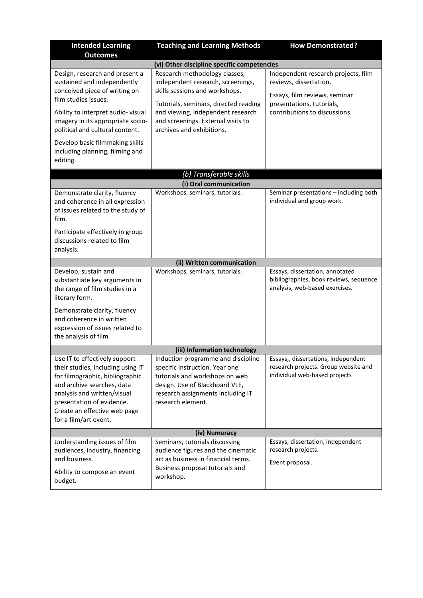| <b>Intended Learning</b>                                                                                                                                                                                                                                               | <b>Teaching and Learning Methods</b>                                                                                                                                                                                                                  | <b>How Demonstrated?</b>                                                                                                                                     |
|------------------------------------------------------------------------------------------------------------------------------------------------------------------------------------------------------------------------------------------------------------------------|-------------------------------------------------------------------------------------------------------------------------------------------------------------------------------------------------------------------------------------------------------|--------------------------------------------------------------------------------------------------------------------------------------------------------------|
| <b>Outcomes</b>                                                                                                                                                                                                                                                        | (vi) Other discipline specific competencies                                                                                                                                                                                                           |                                                                                                                                                              |
| Design, research and present a<br>sustained and independently<br>conceived piece of writing on<br>film studies issues.<br>Ability to interpret audio-visual<br>imagery in its appropriate socio-<br>political and cultural content.<br>Develop basic filmmaking skills | Research methodology classes,<br>independent research, screenings,<br>skills sessions and workshops.<br>Tutorials, seminars, directed reading<br>and viewing, independent research<br>and screenings. External visits to<br>archives and exhibitions. | Independent research projects, film<br>reviews, dissertation.<br>Essays, film reviews, seminar<br>presentations, tutorials,<br>contributions to discussions. |
| including planning, filming and<br>editing.                                                                                                                                                                                                                            |                                                                                                                                                                                                                                                       |                                                                                                                                                              |
|                                                                                                                                                                                                                                                                        | (b) Transferable skills                                                                                                                                                                                                                               |                                                                                                                                                              |
|                                                                                                                                                                                                                                                                        | (i) Oral communication                                                                                                                                                                                                                                |                                                                                                                                                              |
| Demonstrate clarity, fluency<br>and coherence in all expression<br>of issues related to the study of<br>film.                                                                                                                                                          | Workshops, seminars, tutorials.                                                                                                                                                                                                                       | Seminar presentations - including both<br>individual and group work.                                                                                         |
| Participate effectively in group<br>discussions related to film<br>analysis.                                                                                                                                                                                           |                                                                                                                                                                                                                                                       |                                                                                                                                                              |
|                                                                                                                                                                                                                                                                        | (ii) Written communication                                                                                                                                                                                                                            |                                                                                                                                                              |
| Develop, sustain and<br>substantiate key arguments in<br>the range of film studies in a<br>literary form.<br>Demonstrate clarity, fluency<br>and coherence in written                                                                                                  | Workshops, seminars, tutorials.                                                                                                                                                                                                                       | Essays, dissertation, annotated<br>bibliographies, book reviews, sequence<br>analysis, web-based exercises.                                                  |
| expression of issues related to<br>the analysis of film.                                                                                                                                                                                                               |                                                                                                                                                                                                                                                       |                                                                                                                                                              |
|                                                                                                                                                                                                                                                                        |                                                                                                                                                                                                                                                       |                                                                                                                                                              |
| Use IT to effectively support                                                                                                                                                                                                                                          | (iii) Information technology<br>Induction programme and discipline                                                                                                                                                                                    | Essays,, dissertations, independent                                                                                                                          |
| their studies, including using IT<br>for filmographic, bibliographic<br>and archive searches, data<br>analysis and written/visual<br>presentation of evidence.<br>Create an effective web page<br>for a film/art event.                                                | specific instruction. Year one<br>tutorials and workshops on web<br>design. Use of Blackboard VLE,<br>research assignments including IT<br>research element.                                                                                          | research projects. Group website and<br>individual web-based projects                                                                                        |
|                                                                                                                                                                                                                                                                        | (iv) Numeracy                                                                                                                                                                                                                                         |                                                                                                                                                              |
| Understanding issues of film<br>audiences, industry, financing<br>and business.<br>Ability to compose an event<br>budget.                                                                                                                                              | Seminars, tutorials discussing<br>audience figures and the cinematic<br>art as business in financial terms.<br>Business proposal tutorials and<br>workshop.                                                                                           | Essays, dissertation, independent<br>research projects.<br>Event proposal.                                                                                   |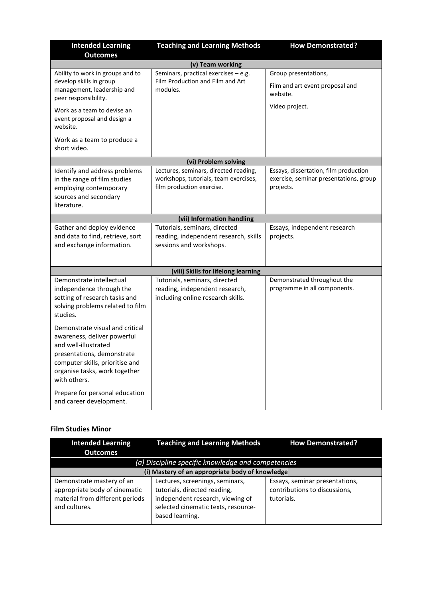| <b>Intended Learning</b>                                                                                                                                                                                 | <b>Teaching and Learning Methods</b>                                                                        | <b>How Demonstrated?</b>                                                                     |
|----------------------------------------------------------------------------------------------------------------------------------------------------------------------------------------------------------|-------------------------------------------------------------------------------------------------------------|----------------------------------------------------------------------------------------------|
| <b>Outcomes</b>                                                                                                                                                                                          |                                                                                                             |                                                                                              |
|                                                                                                                                                                                                          | (v) Team working                                                                                            |                                                                                              |
| Ability to work in groups and to<br>develop skills in group<br>management, leadership and<br>peer responsibility.                                                                                        | Seminars, practical exercises - e.g.<br>Film Production and Film and Art<br>modules.                        | Group presentations,<br>Film and art event proposal and<br>website.                          |
| Work as a team to devise an<br>event proposal and design a<br>website.                                                                                                                                   |                                                                                                             | Video project.                                                                               |
| Work as a team to produce a<br>short video.                                                                                                                                                              |                                                                                                             |                                                                                              |
|                                                                                                                                                                                                          | (vi) Problem solving                                                                                        |                                                                                              |
| Identify and address problems<br>in the range of film studies<br>employing contemporary<br>sources and secondary<br>literature.                                                                          | Lectures, seminars, directed reading,<br>workshops, tutorials, team exercises,<br>film production exercise. | Essays, dissertation, film production<br>exercise, seminar presentations, group<br>projects. |
|                                                                                                                                                                                                          | (vii) Information handling                                                                                  |                                                                                              |
| Gather and deploy evidence<br>and data to find, retrieve, sort<br>and exchange information.                                                                                                              | Tutorials, seminars, directed<br>reading, independent research, skills<br>sessions and workshops.           | Essays, independent research<br>projects.                                                    |
|                                                                                                                                                                                                          | (viii) Skills for lifelong learning                                                                         |                                                                                              |
| Demonstrate intellectual<br>independence through the<br>setting of research tasks and<br>solving problems related to film<br>studies.                                                                    | Tutorials, seminars, directed<br>reading, independent research,<br>including online research skills.        | Demonstrated throughout the<br>programme in all components.                                  |
| Demonstrate visual and critical<br>awareness, deliver powerful<br>and well-illustrated<br>presentations, demonstrate<br>computer skills, prioritise and<br>organise tasks, work together<br>with others. |                                                                                                             |                                                                                              |
| Prepare for personal education<br>and career development.                                                                                                                                                |                                                                                                             |                                                                                              |

# **Film Studies Minor**

| <b>Intended Learning</b><br><b>Outcomes</b>                                                                    | <b>Teaching and Learning Methods</b>                                                                                                                          | <b>How Demonstrated?</b>                                                      |
|----------------------------------------------------------------------------------------------------------------|---------------------------------------------------------------------------------------------------------------------------------------------------------------|-------------------------------------------------------------------------------|
|                                                                                                                | (a) Discipline specific knowledge and competencies                                                                                                            |                                                                               |
|                                                                                                                | (i) Mastery of an appropriate body of knowledge                                                                                                               |                                                                               |
| Demonstrate mastery of an<br>appropriate body of cinematic<br>material from different periods<br>and cultures. | Lectures, screenings, seminars,<br>tutorials, directed reading,<br>independent research, viewing of<br>selected cinematic texts, resource-<br>based learning. | Essays, seminar presentations,<br>contributions to discussions,<br>tutorials. |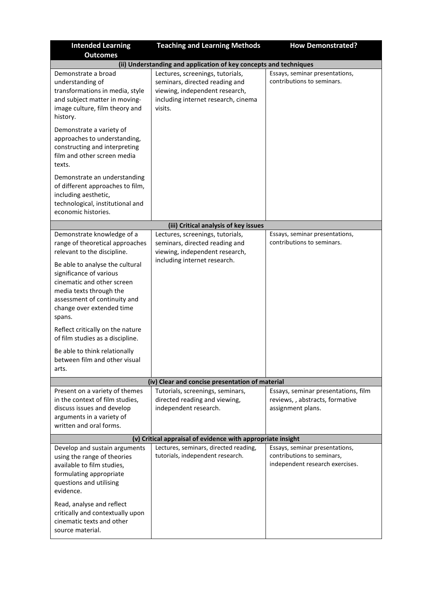| <b>Intended Learning</b>                                                                                                                                                                                                                                                                                                                                                                                                                                                                                                                                                      | <b>Teaching and Learning Methods</b>                                                                                                                                                                                                                                                  | <b>How Demonstrated?</b>                                                                                                                                   |
|-------------------------------------------------------------------------------------------------------------------------------------------------------------------------------------------------------------------------------------------------------------------------------------------------------------------------------------------------------------------------------------------------------------------------------------------------------------------------------------------------------------------------------------------------------------------------------|---------------------------------------------------------------------------------------------------------------------------------------------------------------------------------------------------------------------------------------------------------------------------------------|------------------------------------------------------------------------------------------------------------------------------------------------------------|
| <b>Outcomes</b>                                                                                                                                                                                                                                                                                                                                                                                                                                                                                                                                                               |                                                                                                                                                                                                                                                                                       |                                                                                                                                                            |
|                                                                                                                                                                                                                                                                                                                                                                                                                                                                                                                                                                               | (ii) Understanding and application of key concepts and techniques                                                                                                                                                                                                                     |                                                                                                                                                            |
| Demonstrate a broad<br>understanding of<br>transformations in media, style<br>and subject matter in moving-<br>image culture, film theory and<br>history.                                                                                                                                                                                                                                                                                                                                                                                                                     | Lectures, screenings, tutorials,<br>seminars, directed reading and<br>viewing, independent research,<br>including internet research, cinema<br>visits.                                                                                                                                | Essays, seminar presentations,<br>contributions to seminars.                                                                                               |
| Demonstrate a variety of<br>approaches to understanding,<br>constructing and interpreting<br>film and other screen media<br>texts.                                                                                                                                                                                                                                                                                                                                                                                                                                            |                                                                                                                                                                                                                                                                                       |                                                                                                                                                            |
| Demonstrate an understanding<br>of different approaches to film,<br>including aesthetic,<br>technological, institutional and<br>economic histories.                                                                                                                                                                                                                                                                                                                                                                                                                           |                                                                                                                                                                                                                                                                                       |                                                                                                                                                            |
|                                                                                                                                                                                                                                                                                                                                                                                                                                                                                                                                                                               | (iii) Critical analysis of key issues                                                                                                                                                                                                                                                 |                                                                                                                                                            |
| Demonstrate knowledge of a<br>range of theoretical approaches<br>relevant to the discipline.<br>Be able to analyse the cultural<br>significance of various<br>cinematic and other screen<br>media texts through the<br>assessment of continuity and<br>change over extended time<br>spans.<br>Reflect critically on the nature<br>of film studies as a discipline.<br>Be able to think relationally<br>between film and other visual<br>arts.<br>Present on a variety of themes<br>in the context of film studies,<br>discuss issues and develop<br>arguments in a variety of | Lectures, screenings, tutorials,<br>seminars, directed reading and<br>viewing, independent research,<br>including internet research.<br>(iv) Clear and concise presentation of material<br>Tutorials, screenings, seminars,<br>directed reading and viewing,<br>independent research. | Essays, seminar presentations,<br>contributions to seminars.<br>Essays, seminar presentations, film<br>reviews,, abstracts, formative<br>assignment plans. |
| written and oral forms.                                                                                                                                                                                                                                                                                                                                                                                                                                                                                                                                                       |                                                                                                                                                                                                                                                                                       |                                                                                                                                                            |
|                                                                                                                                                                                                                                                                                                                                                                                                                                                                                                                                                                               | (v) Critical appraisal of evidence with appropriate insight                                                                                                                                                                                                                           |                                                                                                                                                            |
| Develop and sustain arguments<br>using the range of theories<br>available to film studies,<br>formulating appropriate<br>questions and utilising<br>evidence.<br>Read, analyse and reflect<br>critically and contextually upon<br>cinematic texts and other<br>source material.                                                                                                                                                                                                                                                                                               | Lectures, seminars, directed reading,<br>tutorials, independent research.                                                                                                                                                                                                             | Essays, seminar presentations,<br>contributions to seminars,<br>independent research exercises.                                                            |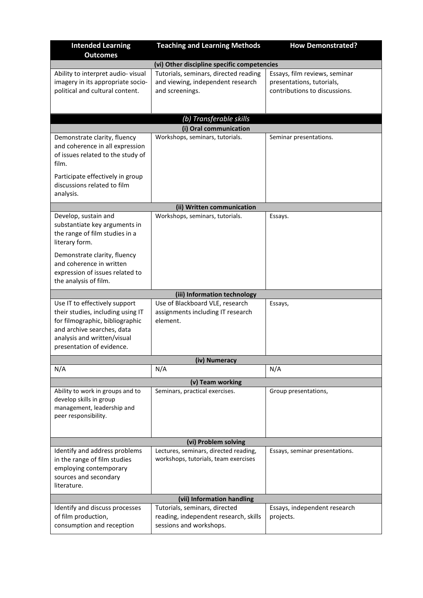| <b>Intended Learning</b><br><b>Outcomes</b>                                                                                                                                                     | <b>Teaching and Learning Methods</b>                                                              | <b>How Demonstrated?</b>                                                                    |
|-------------------------------------------------------------------------------------------------------------------------------------------------------------------------------------------------|---------------------------------------------------------------------------------------------------|---------------------------------------------------------------------------------------------|
|                                                                                                                                                                                                 | (vi) Other discipline specific competencies                                                       |                                                                                             |
| Ability to interpret audio-visual<br>imagery in its appropriate socio-<br>political and cultural content.                                                                                       | Tutorials, seminars, directed reading<br>and viewing, independent research<br>and screenings.     | Essays, film reviews, seminar<br>presentations, tutorials,<br>contributions to discussions. |
|                                                                                                                                                                                                 | (b) Transferable skills                                                                           |                                                                                             |
|                                                                                                                                                                                                 | (i) Oral communication                                                                            |                                                                                             |
| Demonstrate clarity, fluency<br>and coherence in all expression<br>of issues related to the study of<br>film.                                                                                   | Workshops, seminars, tutorials.                                                                   | Seminar presentations.                                                                      |
| Participate effectively in group<br>discussions related to film<br>analysis.                                                                                                                    |                                                                                                   |                                                                                             |
|                                                                                                                                                                                                 | (ii) Written communication                                                                        |                                                                                             |
| Develop, sustain and<br>substantiate key arguments in<br>the range of film studies in a<br>literary form.                                                                                       | Workshops, seminars, tutorials.                                                                   | Essays.                                                                                     |
| Demonstrate clarity, fluency<br>and coherence in written<br>expression of issues related to<br>the analysis of film.                                                                            |                                                                                                   |                                                                                             |
|                                                                                                                                                                                                 | (iii) Information technology                                                                      |                                                                                             |
| Use IT to effectively support<br>their studies, including using IT<br>for filmographic, bibliographic<br>and archive searches, data<br>analysis and written/visual<br>presentation of evidence. | Use of Blackboard VLE, research<br>assignments including IT research<br>element.                  | Essays,                                                                                     |
|                                                                                                                                                                                                 | (iv) Numeracy                                                                                     |                                                                                             |
| N/A                                                                                                                                                                                             | N/A                                                                                               | N/A                                                                                         |
|                                                                                                                                                                                                 | (v) Team working                                                                                  |                                                                                             |
| Ability to work in groups and to<br>develop skills in group<br>management, leadership and<br>peer responsibility.                                                                               | Seminars, practical exercises.                                                                    | Group presentations,                                                                        |
|                                                                                                                                                                                                 | (vi) Problem solving                                                                              |                                                                                             |
| Identify and address problems<br>in the range of film studies<br>employing contemporary<br>sources and secondary<br>literature.                                                                 | Lectures, seminars, directed reading,<br>workshops, tutorials, team exercises                     | Essays, seminar presentations.                                                              |
| (vii) Information handling                                                                                                                                                                      |                                                                                                   |                                                                                             |
| Identify and discuss processes<br>of film production,<br>consumption and reception                                                                                                              | Tutorials, seminars, directed<br>reading, independent research, skills<br>sessions and workshops. | Essays, independent research<br>projects.                                                   |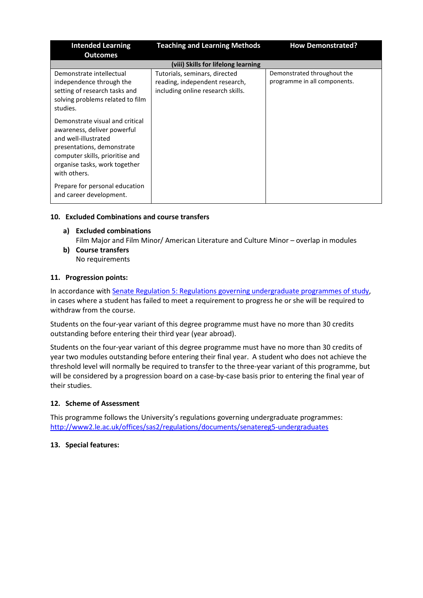| <b>Intended Learning</b><br><b>Outcomes</b>                                                                                                                                                              | <b>Teaching and Learning Methods</b>                                                                 | <b>How Demonstrated?</b>                                    |
|----------------------------------------------------------------------------------------------------------------------------------------------------------------------------------------------------------|------------------------------------------------------------------------------------------------------|-------------------------------------------------------------|
|                                                                                                                                                                                                          | (viii) Skills for lifelong learning                                                                  |                                                             |
| Demonstrate intellectual<br>independence through the<br>setting of research tasks and<br>solving problems related to film<br>studies.                                                                    | Tutorials, seminars, directed<br>reading, independent research,<br>including online research skills. | Demonstrated throughout the<br>programme in all components. |
| Demonstrate visual and critical<br>awareness, deliver powerful<br>and well-illustrated<br>presentations, demonstrate<br>computer skills, prioritise and<br>organise tasks, work together<br>with others. |                                                                                                      |                                                             |
| Prepare for personal education<br>and career development.                                                                                                                                                |                                                                                                      |                                                             |

## **10. Excluded Combinations and course transfers**

- **a) Excluded combinations** Film Major and Film Minor/ American Literature and Culture Minor – overlap in modules
- **b) Course transfers** No requirements

## **11. Progression points:**

In accordance with [Senate Regulation 5: Regulations governing undergraduate programmes of study,](https://www2.le.ac.uk/offices/sas2/regulations/documents/senatereg5-undergraduates) in cases where a student has failed to meet a requirement to progress he or she will be required to withdraw from the course.

Students on the four-year variant of this degree programme must have no more than 30 credits outstanding before entering their third year (year abroad).

Students on the four-year variant of this degree programme must have no more than 30 credits of year two modules outstanding before entering their final year. A student who does not achieve the threshold level will normally be required to transfer to the three-year variant of this programme, but will be considered by a progression board on a case-by-case basis prior to entering the final year of their studies.

## **12. Scheme of Assessment**

This programme follows the University's regulations governing undergraduate programmes: <http://www2.le.ac.uk/offices/sas2/regulations/documents/senatereg5-undergraduates>

### **13. Special features:**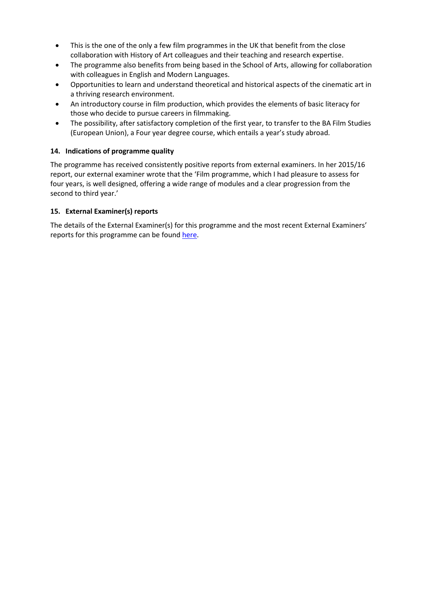- This is the one of the only a few film programmes in the UK that benefit from the close collaboration with History of Art colleagues and their teaching and research expertise.
- The programme also benefits from being based in the School of Arts, allowing for collaboration with colleagues in English and Modern Languages.
- Opportunities to learn and understand theoretical and historical aspects of the cinematic art in a thriving research environment.
- An introductory course in film production, which provides the elements of basic literacy for those who decide to pursue careers in filmmaking.
- The possibility, after satisfactory completion of the first year, to transfer to the BA Film Studies (European Union), a Four year degree course, which entails a year's study abroad.

## **14. Indications of programme quality**

The programme has received consistently positive reports from external examiners. In her 2015/16 report, our external examiner wrote that the 'Film programme, which I had pleasure to assess for four years, is well designed, offering a wide range of modules and a clear progression from the second to third year.'

## **15. External Examiner(s) reports**

The details of the External Examiner(s) for this programme and the most recent External Examiners' reports for this programme can be foun[d here.](https://exampapers.le.ac.uk/xmlui/)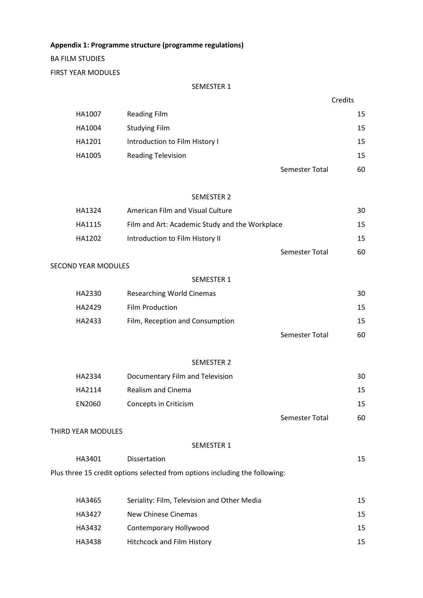**Appendix 1: Programme structure (programme regulations)**

BA FILM STUDIES

FIRST YEAR MODULES

#### SEMESTER 1

| HA1007 | <b>Reading Film</b>            |                | 15 |
|--------|--------------------------------|----------------|----|
| HA1004 | <b>Studying Film</b>           |                | 15 |
| HA1201 | Introduction to Film History I |                | 15 |
| HA1005 | <b>Reading Television</b>      |                | 15 |
|        |                                | Semester Total | 60 |

#### SEMESTER 2

| HA1324 | American Film and Visual Culture               | 30 |
|--------|------------------------------------------------|----|
| HA1115 | Film and Art: Academic Study and the Workplace | 15 |
| HA1202 | Introduction to Film History II                | 15 |
|        | Semester Total                                 | 60 |

# SECOND YEAR MODULES

#### SEMESTER 1

| HA2330 | Researching World Cinemas       |                | 30 |
|--------|---------------------------------|----------------|----|
| HA2429 | <b>Film Production</b>          |                | 15 |
| HA2433 | Film, Reception and Consumption |                | 15 |
|        |                                 | Semester Total | 60 |

## SEMESTER 2

| HA2334 | Documentary Film and Television | 30 |
|--------|---------------------------------|----|
| HA2114 | Realism and Cinema              | 15 |
| EN2060 | Concepts in Criticism           | 15 |
|        | Semester Total                  | 60 |

#### THIRD YEAR MODULES

#### SEMESTER 1

| HA3401 | <b>Dissertation</b>                                                         |  |
|--------|-----------------------------------------------------------------------------|--|
|        | Plus three 15 credit options selected from options including the following: |  |

| HA3465 | Seriality: Film, Television and Other Media | 15 |
|--------|---------------------------------------------|----|
| HA3427 | New Chinese Cinemas                         | 15 |
| HA3432 | Contemporary Hollywood                      | 15 |
| HA3438 | <b>Hitchcock and Film History</b>           | 15 |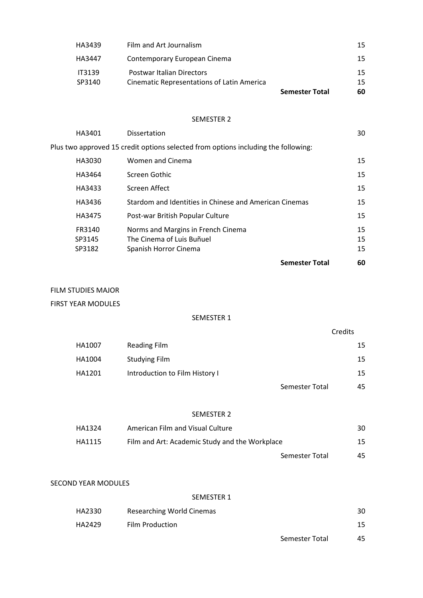|               |                                                   | <b>Semester Total</b> | 60 |
|---------------|---------------------------------------------------|-----------------------|----|
| SP3140        | <b>Cinematic Representations of Latin America</b> |                       | 15 |
| <b>IT3139</b> | <b>Postwar Italian Directors</b>                  |                       | 15 |
| HA3447        | Contemporary European Cinema                      |                       | 15 |
| HA3439        | Film and Art Journalism                           |                       | 15 |

### SEMESTER 2

|        |                                                                                    | <b>Semester Total</b> | 60 |
|--------|------------------------------------------------------------------------------------|-----------------------|----|
| SP3182 | Spanish Horror Cinema                                                              |                       | 15 |
| SP3145 | The Cinema of Luis Buñuel                                                          |                       | 15 |
| FR3140 | Norms and Margins in French Cinema                                                 |                       | 15 |
| HA3475 | Post-war British Popular Culture                                                   |                       | 15 |
| HA3436 | Stardom and Identities in Chinese and American Cinemas                             |                       | 15 |
| HA3433 | Screen Affect                                                                      |                       | 15 |
| HA3464 | Screen Gothic                                                                      |                       | 15 |
| HA3030 | Women and Cinema                                                                   |                       | 15 |
|        | Plus two approved 15 credit options selected from options including the following: |                       |    |
| HA3401 | <b>Dissertation</b>                                                                |                       | 30 |

### FILM STUDIES MAJOR

FIRST YEAR MODULES

# SEMESTER 1

Credits

| HA1007 | Reading Film                   |                | 15 |
|--------|--------------------------------|----------------|----|
| HA1004 | Studying Film                  |                | 15 |
| HA1201 | Introduction to Film History I |                | 15 |
|        |                                | Semester Total | 45 |

#### SEMESTER 2

| HA1324 | American Film and Visual Culture               |                | 30 |
|--------|------------------------------------------------|----------------|----|
| HA1115 | Film and Art: Academic Study and the Workplace |                | 15 |
|        |                                                | Semester Total | 45 |

## SECOND YEAR MODULES

### SEMESTER 1

| HA2330 | Researching World Cinemas |                | 30 |
|--------|---------------------------|----------------|----|
| HA2429 | <b>Film Production</b>    |                | 15 |
|        |                           | Semester Total | 45 |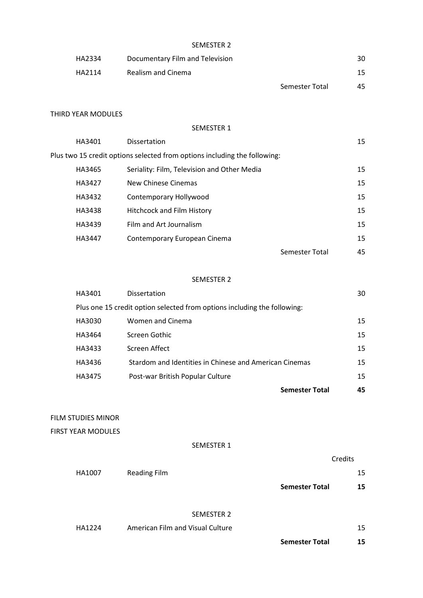## SEMESTER 2

| HA2334 | Documentary Film and Television |                | 30 |
|--------|---------------------------------|----------------|----|
| HA2114 | Realism and Cinema              |                | 15 |
|        |                                 | Semester Total | 45 |

## THIRD YEAR MODULES

#### SEMESTER 1

| HA3401 | <b>Dissertation</b>                                                       |                | 15 |
|--------|---------------------------------------------------------------------------|----------------|----|
|        | Plus two 15 credit options selected from options including the following: |                |    |
| HA3465 | Seriality: Film, Television and Other Media                               |                | 15 |
| HA3427 | New Chinese Cinemas                                                       |                | 15 |
| HA3432 | Contemporary Hollywood                                                    |                | 15 |
| HA3438 | <b>Hitchcock and Film History</b>                                         |                | 15 |
| HA3439 | Film and Art Journalism                                                   |                | 15 |
| HA3447 | Contemporary European Cinema                                              |                | 15 |
|        |                                                                           | Semester Total | 45 |
|        |                                                                           |                |    |

#### SEMESTER 2

|                                                                          |        |                                                        | <b>Semester Total</b> | 45 |
|--------------------------------------------------------------------------|--------|--------------------------------------------------------|-----------------------|----|
|                                                                          | HA3475 | Post-war British Popular Culture                       |                       | 15 |
|                                                                          | HA3436 | Stardom and Identities in Chinese and American Cinemas |                       | 15 |
|                                                                          | HA3433 | Screen Affect                                          |                       | 15 |
|                                                                          | HA3464 | Screen Gothic                                          |                       | 15 |
|                                                                          | HA3030 | Women and Cinema                                       |                       | 15 |
| Plus one 15 credit option selected from options including the following: |        |                                                        |                       |    |
|                                                                          | HA3401 | Dissertation                                           |                       | 30 |

FILM STUDIES MINOR

FIRST YEAR MODULES

## SEMESTER 1

|        |                                  | Credits               |    |
|--------|----------------------------------|-----------------------|----|
| HA1007 | <b>Reading Film</b>              |                       | 15 |
|        |                                  | <b>Semester Total</b> | 15 |
|        |                                  |                       |    |
|        | <b>SEMESTER 2</b>                |                       |    |
| HA1224 | American Film and Visual Culture |                       | 15 |
|        |                                  |                       |    |

**Semester Total 15**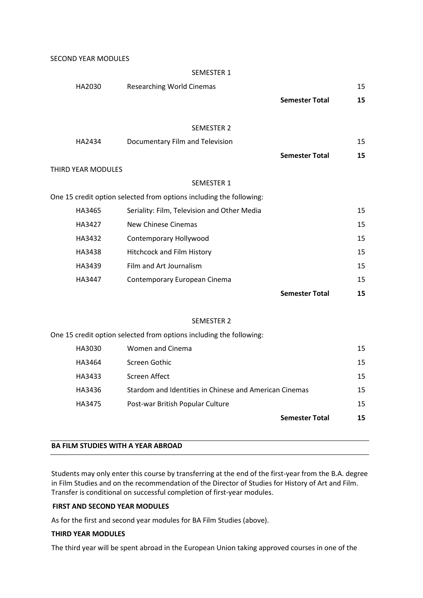SECOND YEAR MODULES

|                           | <b>SEMESTER 1</b>                                                   |                       |    |
|---------------------------|---------------------------------------------------------------------|-----------------------|----|
| HA2030                    | <b>Researching World Cinemas</b>                                    |                       | 15 |
|                           |                                                                     | <b>Semester Total</b> | 15 |
|                           |                                                                     |                       |    |
|                           | <b>SEMESTER 2</b>                                                   |                       |    |
| HA2434                    | Documentary Film and Television                                     |                       | 15 |
|                           |                                                                     | <b>Semester Total</b> | 15 |
| <b>THIRD YEAR MODULES</b> |                                                                     |                       |    |
|                           | <b>SEMESTER 1</b>                                                   |                       |    |
|                           | One 15 credit option selected from options including the following: |                       |    |
| HA3465                    | Seriality: Film, Television and Other Media                         |                       | 15 |
| HA3427                    | New Chinese Cinemas                                                 |                       | 15 |
| HA3432                    | Contemporary Hollywood                                              |                       | 15 |
| HA3438                    | Hitchcock and Film History                                          |                       | 15 |
| HA3439                    | Film and Art Journalism                                             |                       | 15 |
| HA3447                    | Contemporary European Cinema                                        |                       | 15 |
|                           |                                                                     | <b>Semester Total</b> | 15 |
|                           |                                                                     |                       |    |

#### SEMESTER 2

One 15 credit option selected from options including the following:

|        |                                                        | <b>Semester Total</b> | 15              |
|--------|--------------------------------------------------------|-----------------------|-----------------|
| HA3475 | Post-war British Popular Culture                       |                       | 15 <sub>1</sub> |
| HA3436 | Stardom and Identities in Chinese and American Cinemas |                       | 15              |
| HA3433 | Screen Affect                                          |                       | 15 <sub>1</sub> |
| HA3464 | Screen Gothic                                          |                       | 15              |
| HA3030 | Women and Cinema                                       |                       | 15              |

#### **BA FILM STUDIES WITH A YEAR ABROAD**

Students may only enter this course by transferring at the end of the first-year from the B.A. degree in Film Studies and on the recommendation of the Director of Studies for History of Art and Film. Transfer is conditional on successful completion of first-year modules.

#### **FIRST AND SECOND YEAR MODULES**

As for the first and second year modules for BA Film Studies (above).

#### **THIRD YEAR MODULES**

The third year will be spent abroad in the European Union taking approved courses in one of the